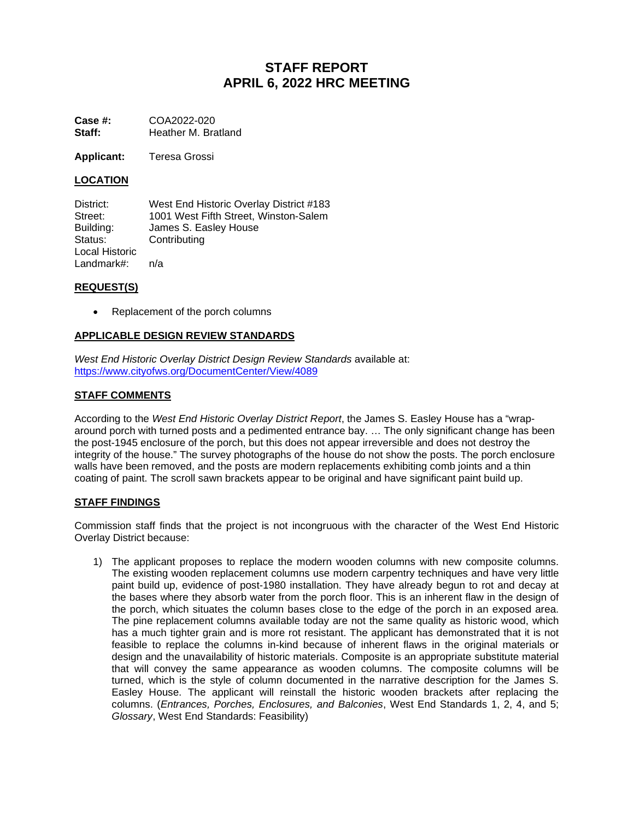# **STAFF REPORT APRIL 6, 2022 HRC MEETING**

**Case #:** COA2022-020<br> **Staff:** Heather M. Bra **Staff:** Heather M. Bratland

**Applicant:** Teresa Grossi

# **LOCATION**

District: West End Historic Overlay District #183<br>
Street: 1001 West Fifth Street. Winston-Salem Street: 1001 West Fifth Street, Winston-Salem<br>Building: James S. Easley House James S. Easley House Status: Contributing Local Historic Landmark#: n/a

#### **REQUEST(S)**

• Replacement of the porch columns

# **APPLICABLE DESIGN REVIEW STANDARDS**

*West End Historic Overlay District Design Review Standards* available at: <https://www.cityofws.org/DocumentCenter/View/4089>

# **STAFF COMMENTS**

According to the *West End Historic Overlay District Report*, the James S. Easley House has a "wraparound porch with turned posts and a pedimented entrance bay. … The only significant change has been the post-1945 enclosure of the porch, but this does not appear irreversible and does not destroy the integrity of the house." The survey photographs of the house do not show the posts. The porch enclosure walls have been removed, and the posts are modern replacements exhibiting comb joints and a thin coating of paint. The scroll sawn brackets appear to be original and have significant paint build up.

#### **STAFF FINDINGS**

Commission staff finds that the project is not incongruous with the character of the West End Historic Overlay District because:

1) The applicant proposes to replace the modern wooden columns with new composite columns. The existing wooden replacement columns use modern carpentry techniques and have very little paint build up, evidence of post-1980 installation. They have already begun to rot and decay at the bases where they absorb water from the porch floor. This is an inherent flaw in the design of the porch, which situates the column bases close to the edge of the porch in an exposed area. The pine replacement columns available today are not the same quality as historic wood, which has a much tighter grain and is more rot resistant. The applicant has demonstrated that it is not feasible to replace the columns in-kind because of inherent flaws in the original materials or design and the unavailability of historic materials. Composite is an appropriate substitute material that will convey the same appearance as wooden columns. The composite columns will be turned, which is the style of column documented in the narrative description for the James S. Easley House. The applicant will reinstall the historic wooden brackets after replacing the columns. (*Entrances, Porches, Enclosures, and Balconies*, West End Standards 1, 2, 4, and 5; *Glossary*, West End Standards: Feasibility)